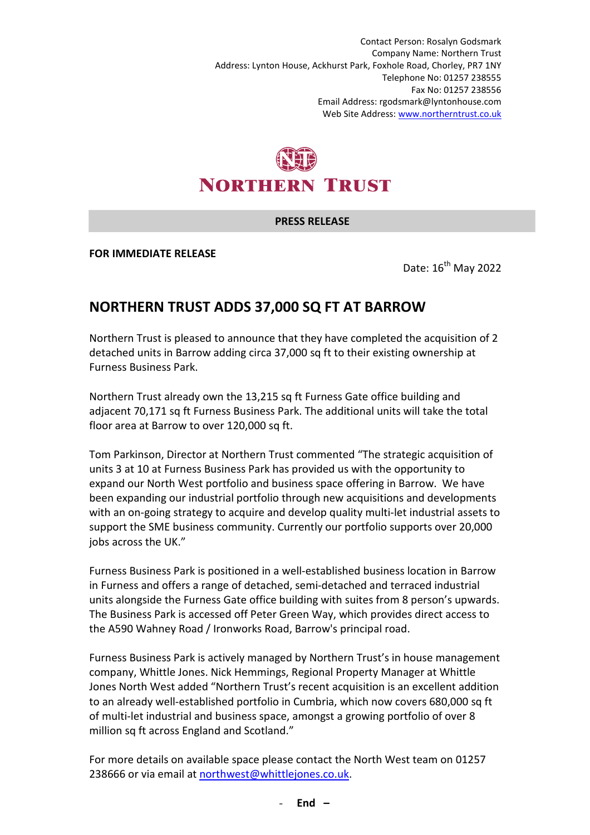Contact Person: Rosalyn Godsmark Company Name: Northern Trust Address: Lynton House, Ackhurst Park, Foxhole Road, Chorley, PR7 1NY Telephone No: 01257 238555 Fax No: 01257 238556 Email Address: rgodsmark@lyntonhouse.com Web Site Address: www.northerntrust.co.uk

## **NORTHERN TRUST**

## **PRESS RELEASE**

**FOR IMMEDIATE RELEASE** 

Date: 16<sup>th</sup> May 2022

## **NORTHERN TRUST ADDS 37,000 SQ FT AT BARROW**

Northern Trust is pleased to announce that they have completed the acquisition of 2 detached units in Barrow adding circa 37,000 sq ft to their existing ownership at Furness Business Park.

Northern Trust already own the 13,215 sq ft Furness Gate office building and adjacent 70,171 sq ft Furness Business Park. The additional units will take the total floor area at Barrow to over 120,000 sq ft.

Tom Parkinson, Director at Northern Trust commented "The strategic acquisition of units 3 at 10 at Furness Business Park has provided us with the opportunity to expand our North West portfolio and business space offering in Barrow. We have been expanding our industrial portfolio through new acquisitions and developments with an on-going strategy to acquire and develop quality multi-let industrial assets to support the SME business community. Currently our portfolio supports over 20,000 jobs across the UK."

Furness Business Park is positioned in a well-established business location in Barrow in Furness and offers a range of detached, semi-detached and terraced industrial units alongside the Furness Gate office building with suites from 8 person's upwards. The Business Park is accessed off Peter Green Way, which provides direct access to the A590 Wahney Road / Ironworks Road, Barrow's principal road.

Furness Business Park is actively managed by Northern Trust's in house management company, Whittle Jones. Nick Hemmings, Regional Property Manager at Whittle Jones North West added "Northern Trust's recent acquisition is an excellent addition to an already well-established portfolio in Cumbria, which now covers 680,000 sq ft of multi-let industrial and business space, amongst a growing portfolio of over 8 million sq ft across England and Scotland."

For more details on available space please contact the North West team on 01257 238666 or via email at northwest@whittlejones.co.uk.